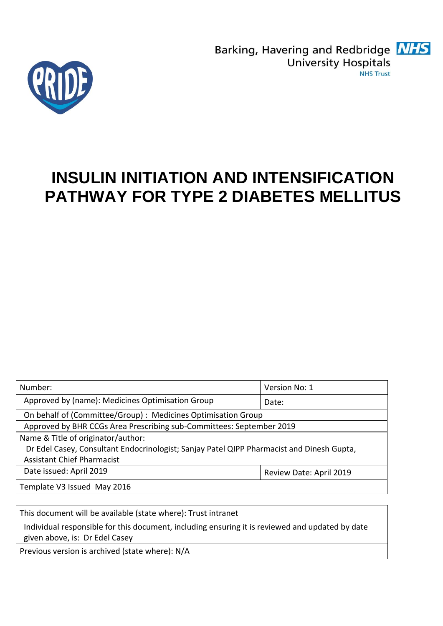Barking, Havering and Redbridge **NHS University Hospitals NHS Trust** 



# **INSULIN INITIATION AND INTENSIFICATION PATHWAY FOR TYPE 2 DIABETES MELLITUS**

| Number:                                                                                   | Version No: 1           |
|-------------------------------------------------------------------------------------------|-------------------------|
| Approved by (name): Medicines Optimisation Group                                          | Date:                   |
| On behalf of (Committee/Group): Medicines Optimisation Group                              |                         |
| Approved by BHR CCGs Area Prescribing sub-Committees: September 2019                      |                         |
| Name & Title of originator/author:                                                        |                         |
| Dr Edel Casey, Consultant Endocrinologist; Sanjay Patel QIPP Pharmacist and Dinesh Gupta, |                         |
| <b>Assistant Chief Pharmacist</b>                                                         |                         |
| Date issued: April 2019                                                                   | Review Date: April 2019 |
| Template V3 Issued May 2016                                                               |                         |
|                                                                                           |                         |

This document will be available (state where): Trust intranet

Individual responsible for this document, including ensuring it is reviewed and updated by date given above, is: Dr Edel Casey

Previous version is archived (state where): N/A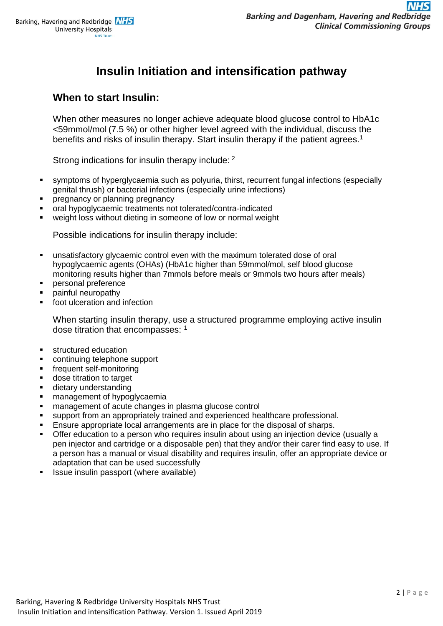# **Insulin Initiation and intensification pathway**

### **When to start Insulin:**

When other measures no longer achieve adequate blood glucose control to HbA1c <59mmol/mol (7.5 %) or other higher level agreed with the individual, discuss the benefits and risks of insulin therapy. Start insulin therapy if the patient agrees.<sup>1</sup>

Strong indications for insulin therapy include: <sup>2</sup>

- symptoms of hyperglycaemia such as polyuria, thirst, recurrent fungal infections (especially genital thrush) or bacterial infections (especially urine infections)
- pregnancy or planning pregnancy
- oral hypoglycaemic treatments not tolerated/contra-indicated
- weight loss without dieting in someone of low or normal weight

Possible indications for insulin therapy include:

- unsatisfactory glycaemic control even with the maximum tolerated dose of oral hypoglycaemic agents (OHAs) (HbA1c higher than 59mmol/mol, self blood glucose monitoring results higher than 7mmols before meals or 9mmols two hours after meals)
- personal preference
- painful neuropathy
- foot ulceration and infection

When starting insulin therapy, use a structured programme employing active insulin dose titration that encompasses: <sup>1</sup>

- **structured education**
- continuing telephone support
- frequent self-monitoring
- dose titration to target
- dietary understanding
- management of hypoglycaemia
- management of acute changes in plasma glucose control
- support from an appropriately trained and experienced healthcare professional.
- Ensure appropriate local arrangements are in place for the disposal of sharps.
- Offer education to a person who requires insulin about using an injection device (usually a pen injector and cartridge or a disposable pen) that they and/or their carer find easy to use. If a person has a manual or visual disability and requires insulin, offer an appropriate device or adaptation that can be used successfully
- Issue insulin passport (where available)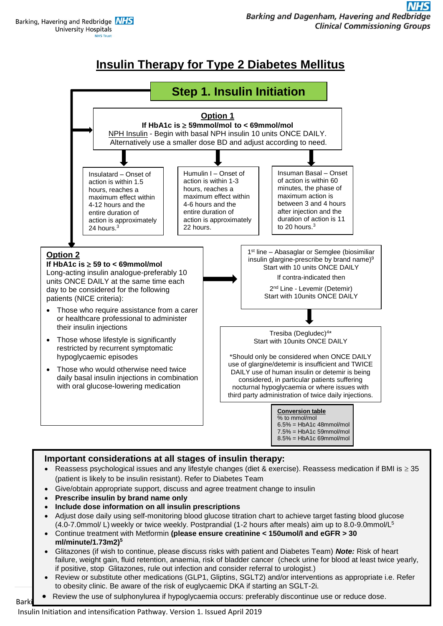Barking, Havering and Redbridge **NHS University Hospitals** 

# **Insulin Therapy for Type 2 Diabetes Mellitus**



### **Important considerations at all stages of insulin therapy:**

- Reassess psychological issues and any lifestyle changes (diet & exercise). Reassess medication if BMI is  $\geq$  35 (patient is likely to be insulin resistant). Refer to Diabetes Team
- Give/obtain appropriate support, discuss and agree treatment change to insulin
- **Prescribe insulin by brand name only**
- **Include dose information on all insulin prescriptions**
- Adjust dose daily using self-monitoring blood glucose titration chart to achieve target fasting blood glucose (4.0-7.0mmol/ L) weekly or twice weekly. Postprandial (1-2 hours after meals) aim up to 8.0-9.0mmol/L<sup>5</sup>
- Continue treatment with Metformin **(please ensure creatinine < 150umol/l and eGFR > 30 ml/minute/1.73m2) 5**
- Glitazones (if wish to continue, please discuss risks with patient and Diabetes Team) *Note:* Risk of heart failure, weight gain, fluid retention, anaemia, risk of bladder cancer (check urine for blood at least twice yearly, if positive, stop Glitazones, rule out infection and consider referral to urologist.)
- Review or substitute other medications (GLP1, Gliptins, SGLT2) and/or interventions as appropriate i.e. Refer to obesity clinic. Be aware of the risk of euglycaemic DKA if starting an SGLT-2i.
- Barking, Haven the asset approximated in typegty section Review the use of sulphonylurea if hypoglycaemia occurs: preferably discontinue use or reduce dose.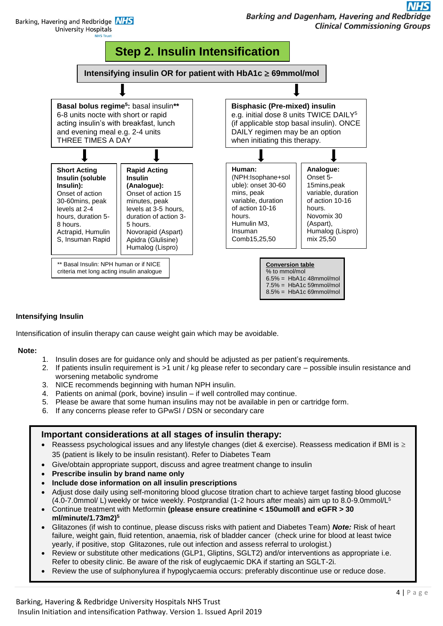Barking, Havering and Redbridge NHS **University Hospitals** 



#### **Intensifying Insulin**

Intensification of insulin therapy can cause weight gain which may be avoidable.

#### **Note:**

- 1. Insulin doses are for guidance only and should be adjusted as per patient's requirements.
- 2. If patients insulin requirement is >1 unit / kg please refer to secondary care possible insulin resistance and worsening metabolic syndrome
- 3. NICE recommends beginning with human NPH insulin.
- 4. Patients on animal (pork, bovine) insulin if well controlled may continue.
- 5. Please be aware that some human insulins may not be available in pen or cartridge form.
- 6. If any concerns please refer to GPwSI / DSN or secondary care

#### **Important considerations at all stages of insulin therapy:**

- Reassess psychological issues and any lifestyle changes (diet & exercise). Reassess medication if BMI is  $\geq$ 35 (patient is likely to be insulin resistant). Refer to Diabetes Team
- Give/obtain appropriate support, discuss and agree treatment change to insulin
- **Prescribe insulin by brand name only**
- **Include dose information on all insulin prescriptions**
- Adjust dose daily using self-monitoring blood glucose titration chart to achieve target fasting blood glucose (4.0-7.0mmol/ L) weekly or twice weekly. Postprandial (1-2 hours after meals) aim up to 8.0-9.0mmol/L<sup>5</sup>
- Continue treatment with Metformin **(please ensure creatinine < 150umol/l and eGFR > 30 ml/minute/1.73m2) 5**
- Glitazones (if wish to continue, please discuss risks with patient and Diabetes Team) *Note:* Risk of heart failure, weight gain, fluid retention, anaemia, risk of bladder cancer (check urine for blood at least twice yearly, if positive, stop Glitazones, rule out infection and assess referral to urologist.)
- Review or substitute other medications (GLP1, Gliptins, SGLT2) and/or interventions as appropriate i.e. Refer to obesity clinic. Be aware of the risk of euglycaemic DKA if starting an SGLT-2i.
- Review the use of sulphonylurea if hypoglycaemia occurs: preferably discontinue use or reduce dose.

 $R_{\rm eff}$ urea if hypoclycaemia occurs: preferably discontinue use or reduce dose or  $r$